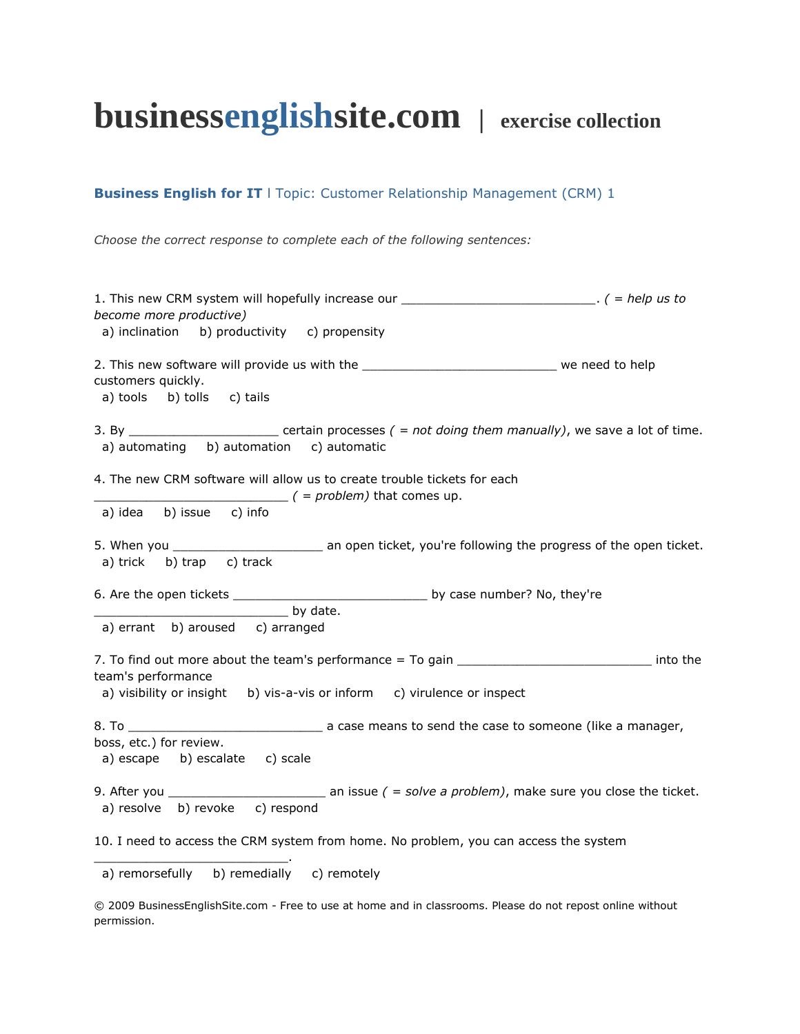## **businessenglishsite.com | exercise collection**

## **Business English for IT** | Topic: Customer Relationship Management (CRM) 1

*Choose the correct response to complete each of the following sentences:*

| 1. This new CRM system will hopefully increase our ____________________________. ( = help us to<br>become more productive)                                                                                                                                                                                                                                                                                                                               |
|----------------------------------------------------------------------------------------------------------------------------------------------------------------------------------------------------------------------------------------------------------------------------------------------------------------------------------------------------------------------------------------------------------------------------------------------------------|
| a) inclination b) productivity c) propensity                                                                                                                                                                                                                                                                                                                                                                                                             |
| customers quickly.<br>a) tools b) tolls c) tails                                                                                                                                                                                                                                                                                                                                                                                                         |
| a) automating b) automation c) automatic                                                                                                                                                                                                                                                                                                                                                                                                                 |
| 4. The new CRM software will allow us to create trouble tickets for each<br>$( = problem)$ that comes up.<br>a) idea b) issue c) info                                                                                                                                                                                                                                                                                                                    |
| a) trick b) trap c) track                                                                                                                                                                                                                                                                                                                                                                                                                                |
| by date.                                                                                                                                                                                                                                                                                                                                                                                                                                                 |
| a) errant b) aroused c) arranged                                                                                                                                                                                                                                                                                                                                                                                                                         |
| 7. To find out more about the team's performance = To gain ________________________________ into the<br>team's performance<br>a) visibility or insight b) vis-a-vis or inform c) virulence or inspect                                                                                                                                                                                                                                                    |
| $8.$ To $\_\_$<br>a case means to send the case to someone (like a manager,                                                                                                                                                                                                                                                                                                                                                                              |
| boss, etc.) for review.<br>a) escape b) escalate c) scale                                                                                                                                                                                                                                                                                                                                                                                                |
| 9. After you $\frac{1}{\sqrt{1-\frac{1}{\sqrt{1-\frac{1}{\sqrt{1-\frac{1}{\sqrt{1-\frac{1}{\sqrt{1-\frac{1}{\sqrt{1-\frac{1}{\sqrt{1-\frac{1}{\sqrt{1-\frac{1}{\sqrt{1-\frac{1}{\sqrt{1-\frac{1}{\sqrt{1-\frac{1}{\sqrt{1-\frac{1}{\sqrt{1-\frac{1}{\sqrt{1-\frac{1}{\sqrt{1-\frac{1}{\sqrt{1-\frac{1}{\sqrt{1-\frac{1}{\sqrt{1-\frac{1}{\sqrt{1-\frac{1}{\sqrt{1-\frac{1}{\sqrt{1-\frac{1}{\sqrt{1-\frac{1}{\sqrt{1$<br>a) resolve b) revoke c) respond |
| 10. I need to access the CRM system from home. No problem, you can access the system                                                                                                                                                                                                                                                                                                                                                                     |
| a) remorsefully b) remedially c) remotely                                                                                                                                                                                                                                                                                                                                                                                                                |

© 2009 BusinessEnglishSite.com - Free to use at home and in classrooms. Please do not repost online without permission.